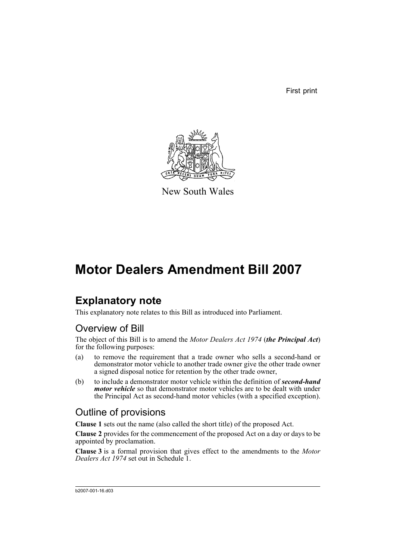First print



New South Wales

# **Motor Dealers Amendment Bill 2007**

## **Explanatory note**

This explanatory note relates to this Bill as introduced into Parliament.

### Overview of Bill

The object of this Bill is to amend the *Motor Dealers Act 1974* (*the Principal Act*) for the following purposes:

- (a) to remove the requirement that a trade owner who sells a second-hand or demonstrator motor vehicle to another trade owner give the other trade owner a signed disposal notice for retention by the other trade owner,
- (b) to include a demonstrator motor vehicle within the definition of *second-hand motor vehicle* so that demonstrator motor vehicles are to be dealt with under the Principal Act as second-hand motor vehicles (with a specified exception).

### Outline of provisions

**Clause 1** sets out the name (also called the short title) of the proposed Act.

**Clause 2** provides for the commencement of the proposed Act on a day or days to be appointed by proclamation.

**Clause 3** is a formal provision that gives effect to the amendments to the *Motor Dealers Act 1974* set out in Schedule 1.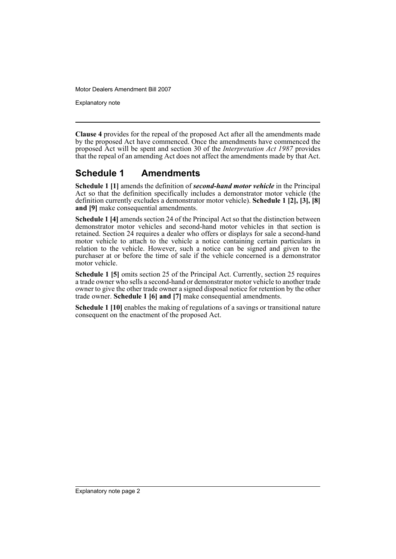Motor Dealers Amendment Bill 2007

Explanatory note

**Clause 4** provides for the repeal of the proposed Act after all the amendments made by the proposed Act have commenced. Once the amendments have commenced the proposed Act will be spent and section 30 of the *Interpretation Act 1987* provides that the repeal of an amending Act does not affect the amendments made by that Act.

### **Schedule 1 Amendments**

**Schedule 1 [1]** amends the definition of *second-hand motor vehicle* in the Principal Act so that the definition specifically includes a demonstrator motor vehicle (the definition currently excludes a demonstrator motor vehicle). **Schedule 1 [2], [3], [8] and [9]** make consequential amendments.

**Schedule 1 [4]** amends section 24 of the Principal Act so that the distinction between demonstrator motor vehicles and second-hand motor vehicles in that section is retained. Section 24 requires a dealer who offers or displays for sale a second-hand motor vehicle to attach to the vehicle a notice containing certain particulars in relation to the vehicle. However, such a notice can be signed and given to the purchaser at or before the time of sale if the vehicle concerned is a demonstrator motor vehicle.

**Schedule 1 [5]** omits section 25 of the Principal Act. Currently, section 25 requires a trade owner who sells a second-hand or demonstrator motor vehicle to another trade owner to give the other trade owner a signed disposal notice for retention by the other trade owner. **Schedule 1 [6] and [7]** make consequential amendments.

**Schedule 1 [10]** enables the making of regulations of a savings or transitional nature consequent on the enactment of the proposed Act.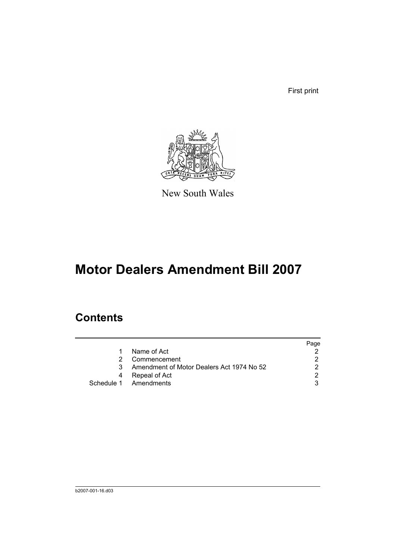First print



New South Wales

# **Motor Dealers Amendment Bill 2007**

## **Contents**

|    |                                           | Page |
|----|-------------------------------------------|------|
|    | Name of Act                               |      |
|    | Commencement                              |      |
| 3. | Amendment of Motor Dealers Act 1974 No 52 |      |
| 4  | Repeal of Act                             | ◠    |
|    | Schedule 1 Amendments                     |      |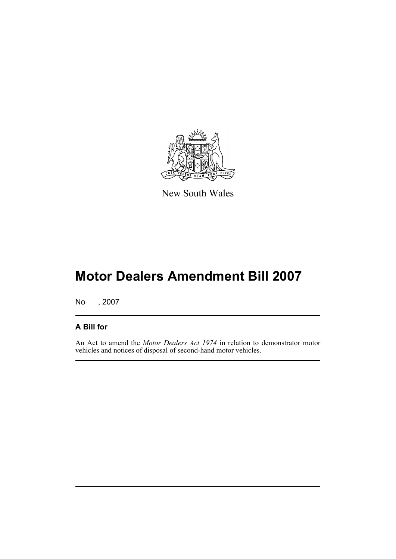

New South Wales

# **Motor Dealers Amendment Bill 2007**

No , 2007

#### **A Bill for**

An Act to amend the *Motor Dealers Act 1974* in relation to demonstrator motor vehicles and notices of disposal of second-hand motor vehicles.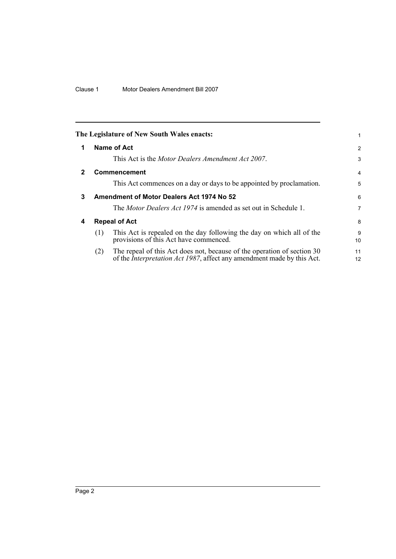<span id="page-5-3"></span><span id="page-5-2"></span><span id="page-5-1"></span><span id="page-5-0"></span>

|   |     | The Legislature of New South Wales enacts:                                                                                                                |                |
|---|-----|-----------------------------------------------------------------------------------------------------------------------------------------------------------|----------------|
| 1 |     | Name of Act                                                                                                                                               | 2              |
|   |     | This Act is the <i>Motor Dealers Amendment Act 2007</i> .                                                                                                 | 3              |
| 2 |     | <b>Commencement</b>                                                                                                                                       | $\overline{4}$ |
|   |     | This Act commences on a day or days to be appointed by proclamation.                                                                                      | 5              |
| 3 |     | Amendment of Motor Dealers Act 1974 No 52                                                                                                                 | 6              |
|   |     | The <i>Motor Dealers Act 1974</i> is amended as set out in Schedule 1.                                                                                    | 7              |
| 4 |     | <b>Repeal of Act</b>                                                                                                                                      | 8              |
|   | (1) | This Act is repealed on the day following the day on which all of the<br>provisions of this Act have commenced.                                           | 9<br>10        |
|   | (2) | The repeal of this Act does not, because of the operation of section 30<br>of the <i>Interpretation Act 1987</i> , affect any amendment made by this Act. | 11<br>12       |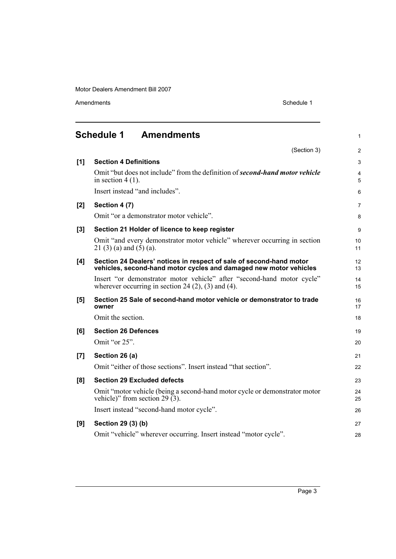Motor Dealers Amendment Bill 2007

Amendments Schedule 1

<span id="page-6-0"></span>

|     | <b>Schedule 1</b><br><b>Amendments</b>                                                                                                   | 1                   |
|-----|------------------------------------------------------------------------------------------------------------------------------------------|---------------------|
|     | (Section 3)                                                                                                                              | $\overline{2}$      |
| [1] | <b>Section 4 Definitions</b>                                                                                                             | 3                   |
|     | Omit "but does not include" from the definition of <b>second-hand motor vehicle</b><br>in section $4(1)$ .                               | $\overline{4}$<br>5 |
|     | Insert instead "and includes".                                                                                                           | 6                   |
| [2] | Section 4 (7)                                                                                                                            | 7                   |
|     | Omit "or a demonstrator motor vehicle".                                                                                                  | 8                   |
| [3] | Section 21 Holder of licence to keep register                                                                                            | 9                   |
|     | Omit "and every demonstrator motor vehicle" wherever occurring in section<br>$21(3)(a)$ and $(5)(a)$ .                                   | 10<br>11            |
| [4] | Section 24 Dealers' notices in respect of sale of second-hand motor<br>vehicles, second-hand motor cycles and damaged new motor vehicles | 12<br>13            |
|     | Insert "or demonstrator motor vehicle" after "second-hand motor cycle"<br>wherever occurring in section 24 $(2)$ , $(3)$ and $(4)$ .     | 14<br>15            |
| [5] | Section 25 Sale of second-hand motor vehicle or demonstrator to trade<br>owner                                                           | 16<br>17            |
|     | Omit the section.                                                                                                                        | 18                  |
| [6] | <b>Section 26 Defences</b>                                                                                                               | 19                  |
|     | Omit "or 25".                                                                                                                            | 20                  |
| [7] | Section 26 (a)                                                                                                                           | 21                  |
|     | Omit "either of those sections". Insert instead "that section".                                                                          | 22                  |
| [8] | <b>Section 29 Excluded defects</b>                                                                                                       | 23                  |
|     | Omit "motor vehicle (being a second-hand motor cycle or demonstrator motor<br>vehicle)" from section 29 $(3)$ .                          | 24<br>25            |
|     | Insert instead "second-hand motor cycle".                                                                                                | 26                  |
| [9] | Section 29 (3) (b)                                                                                                                       | 27                  |
|     | Omit "vehicle" wherever occurring. Insert instead "motor cycle".                                                                         | 28                  |